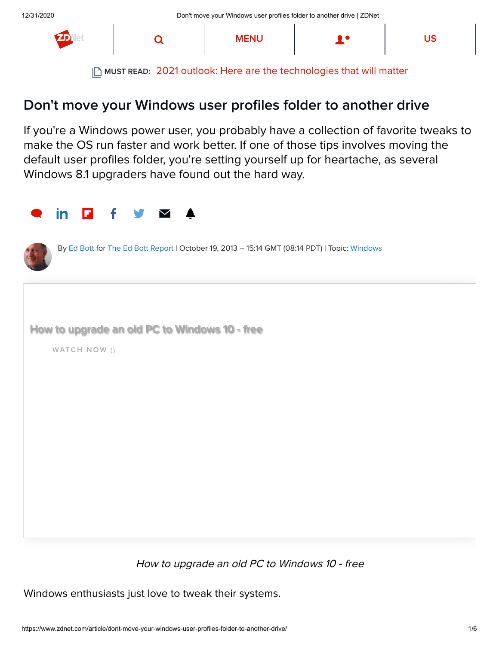

MUST READ: [2021 outlook: Here are the technologies that will matter](https://www.zdnet.com/article/2021-outlook-here-are-the-technologies-questions-thatll-matter/)

### Don't move your Windows user profiles folder to another drive

If you're a Windows power user, you probably have a collection of favorite tweaks to make the OS run faster and work better. If one of those tips involves moving the default user profiles folder, you're setting yourself up for heartache, as several Windows 8.1 upgraders have found out the hard way.





By [Ed Bott](https://www.zdnet.com/meet-the-team/us/ed-bott/) for [The Ed Bott Report](https://www.zdnet.com/blog/bott/) | October 19, 2013 -- 15:14 GMT (08:14 PDT) | Topic: [Windows](https://www.zdnet.com/topic/windows/)



WATCH NOW ()

How to upgrade an old PC to Windows 10 - free

Windows enthusiasts just love to tweak their systems.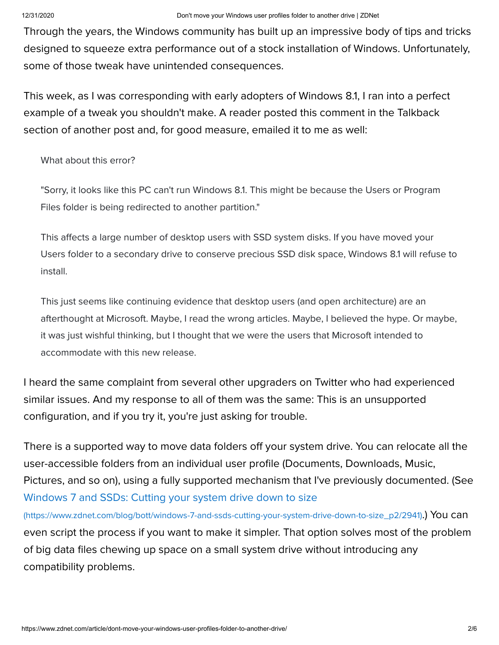Through the years, the Windows community has built up an impressive body of tips and tricks designed to squeeze extra performance out of a stock installation of Windows. Unfortunately, some of those tweak have unintended consequences.

This week, as I was corresponding with early adopters of Windows 8.1, I ran into a perfect example of a tweak you shouldn't make. A reader posted this comment in the Talkback section of another post and, for good measure, emailed it to me as well:

What about this error?

"Sorry, it looks like this PC can't run Windows 8.1. This might be because the Users or Program Files folder is being redirected to another partition."

This affects a large number of desktop users with SSD system disks. If you have moved your Users folder to a secondary drive to conserve precious SSD disk space, Windows 8.1 will refuse to install.

This just seems like continuing evidence that desktop users (and open architecture) are an afterthought at Microsoft. Maybe, I read the wrong articles. Maybe, I believed the hype. Or maybe, it was just wishful thinking, but I thought that we were the users that Microsoft intended to accommodate with this new release.

I heard the same complaint from several other upgraders on Twitter who had experienced similar issues. And my response to all of them was the same: This is an unsupported configuration, and if you try it, you're just asking for trouble.

There is a supported way to move data folders off your system drive. You can relocate all the user-accessible folders from an individual user profile (Documents, Downloads, Music, Pictures, and so on), using a fully supported mechanism that I've previously documented. (See Windows 7 and SSDs: Cutting your system drive down to size

[\(https://www.zdnet.com/blog/bott/windows-7-and-ssds-cutting-your-system-drive-down-to-size\\_p2/2941\)](https://www.zdnet.com/blog/bott/windows-7-and-ssds-cutting-your-system-drive-down-to-size_p2/2941).) You can even script the process if you want to make it simpler. That option solves most of the problem of big data files chewing up space on a small system drive without introducing any compatibility problems.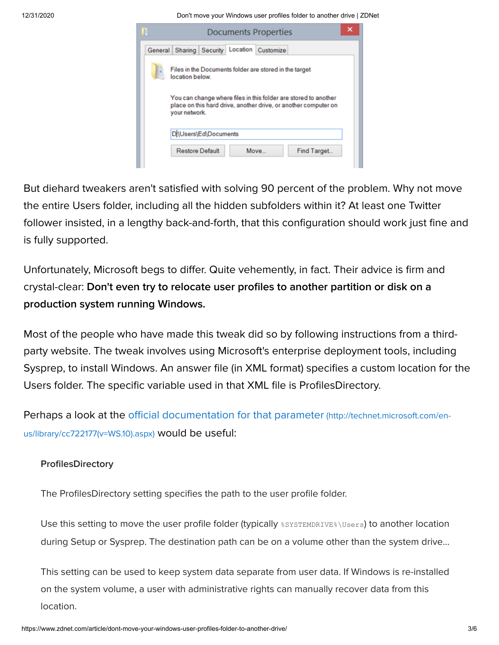12/31/2020 Don't move your Windows user profiles folder to another drive | ZDNet

|                                                                           | <b>Documents Properties</b> |                                                                                                                                    |
|---------------------------------------------------------------------------|-----------------------------|------------------------------------------------------------------------------------------------------------------------------------|
| General Sharing Security                                                  | Location Customize          |                                                                                                                                    |
| Files in the Documents folder are stored in the target<br>location below. |                             |                                                                                                                                    |
| vour network.                                                             |                             | You can change where files in this folder are stored to another<br>place on this hard drive, another drive, or another computer on |
|                                                                           |                             |                                                                                                                                    |
| Di\Users\Ed\Documents                                                     |                             |                                                                                                                                    |

But diehard tweakers aren't satisfied with solving 90 percent of the problem. Why not move the entire Users folder, including all the hidden subfolders within it? At least one Twitter follower insisted, in a lengthy back-and-forth, that this configuration should work just fine and is fully supported.

Unfortunately, Microsoft begs to differ. Quite vehemently, in fact. Their advice is firm and crystal-clear: Don't even try to relocate user profiles to another partition or disk on a production system running Windows.

Most of the people who have made this tweak did so by following instructions from a thirdparty website. The tweak involves using Microsoft's enterprise deployment tools, including Sysprep, to install Windows. An answer file (in XML format) specifies a custom location for the Users folder. The specific variable used in that XML file is ProfilesDirectory.

[Perhaps a look at the official documentation for that parameter](http://technet.microsoft.com/en-us/library/cc722177(v=WS.10).aspx) (http://technet.microsoft.com/enus/library/cc722177(v=WS.10).aspx) would be useful:

### **ProfilesDirectory**

The ProfilesDirectory setting specifies the path to the user profile folder.

Use this setting to move the user profile folder (typically \*SYSTEMDRIVE\*\Users) to another location during Setup or Sysprep. The destination path can be on a volume other than the system drive...

This setting can be used to keep system data separate from user data. If Windows is re-installed on the system volume, a user with administrative rights can manually recover data from this location.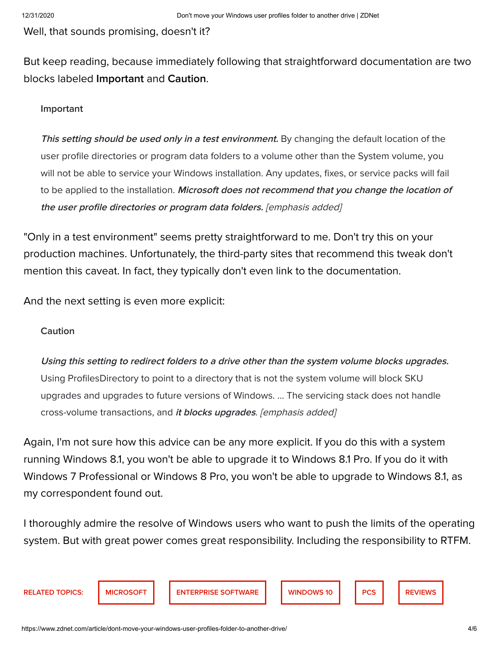Well, that sounds promising, doesn't it?

But keep reading, because immediately following that straightforward documentation are two blocks labeled Important and Caution.

#### Important

This setting should be used only in a test environment. By changing the default location of the user profile directories or program data folders to a volume other than the System volume, you will not be able to service your Windows installation. Any updates, fixes, or service packs will fail to be applied to the installation. Microsoft does not recommend that you change the location of the user profile directories or program data folders. [emphasis added]

"Only in a test environment" seems pretty straightforward to me. Don't try this on your production machines. Unfortunately, the third-party sites that recommend this tweak don't mention this caveat. In fact, they typically don't even link to the documentation.

And the next setting is even more explicit:

#### Caution

Using this setting to redirect folders to a drive other than the system volume blocks upgrades. Using ProfilesDirectory to point to a directory that is not the system volume will block SKU upgrades and upgrades to future versions of Windows. ... The servicing stack does not handle cross-volume transactions, and it blocks upgrades. [emphasis added]

Again, I'm not sure how this advice can be any more explicit. If you do this with a system running Windows 8.1, you won't be able to upgrade it to Windows 8.1 Pro. If you do it with Windows 7 Professional or Windows 8 Pro, you won't be able to upgrade to Windows 8.1, as my correspondent found out.

I thoroughly admire the resolve of Windows users who want to push the limits of the operating system. But with great power comes great responsibility. Including the responsibility to RTFM.